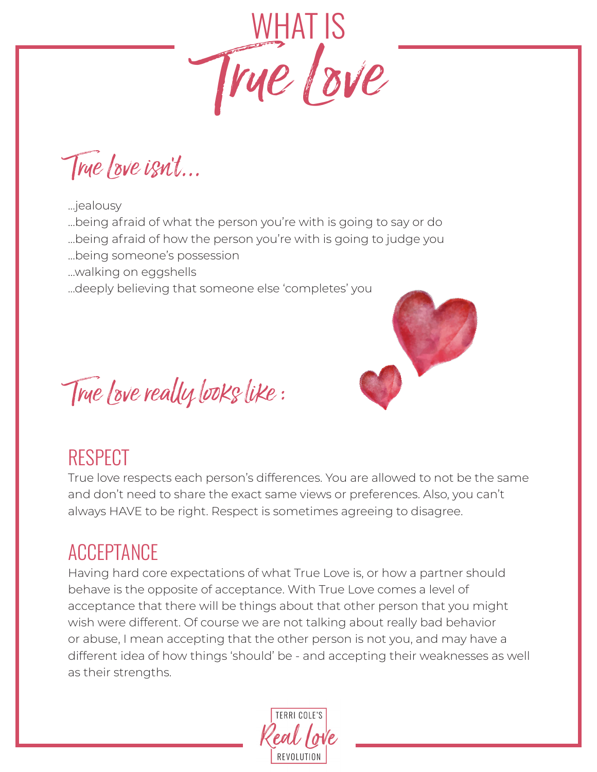

True Love isn't...

#### ...jealousy

...being afraid of what the person you're with is going to say or do

- ...being afraid of how the person you're with is going to judge you
- ...being someone's possession
- …walking on eggshells
- ...deeply believing that someone else 'completes' you



True Love really looks like :

#### RESPECT

True love respects each person's differences. You are allowed to not be the same and don't need to share the exact same views or preferences. Also, you can't always HAVE to be right. Respect is sometimes agreeing to disagree.

#### ACCEPTANCE

Having hard core expectations of what True Love is, or how a partner should behave is the opposite of acceptance. With True Love comes a level of acceptance that there will be things about that other person that you might wish were different. Of course we are not talking about really bad behavior or abuse, I mean accepting that the other person is not you, and may have a different idea of how things 'should' be - and accepting their weaknesses as well as their strengths.

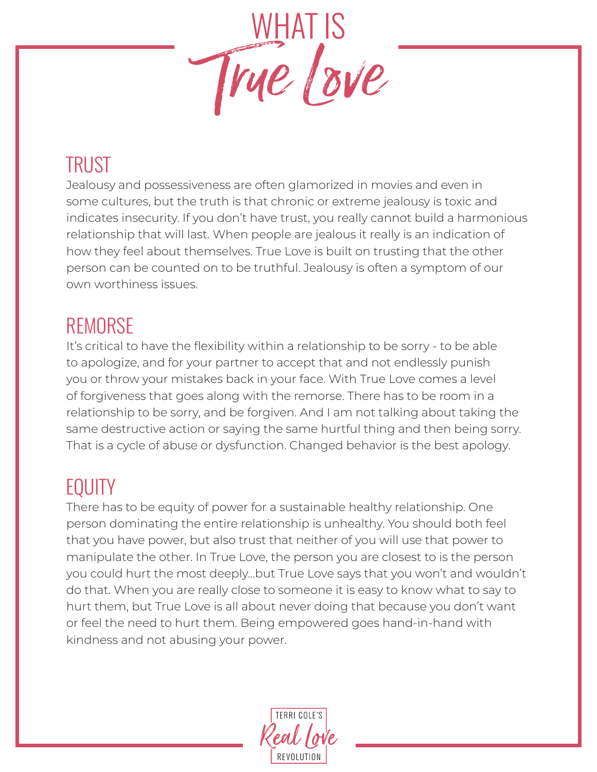

# TRUST

Jealousy and possessiveness are often glamorized in movies and even in some cultures, but the truth is that chronic or extreme jealousy is toxic and indicates insecurity. If you don't have trust, you really cannot build a harmonious relationship that will last. When people are jealous it really is an indication of how they feel about themselves. True Love is built on trusting that the other person can be counted on to be truthful. Jealousy is often a symptom of our own worthiness issues.

## REMORSE

It's critical to have the flexibility within a relationship to be sorry - to be able to apologize, and for your partner to accept that and not endlessly punish you or throw your mistakes back in your face. With True Love comes a level of forgiveness that goes along with the remorse. There has to be room in a relationship to be sorry, and be forgiven. And I am not talking about taking the same destructive action or saying the same hurtful thing and then being sorry. That is a cycle of abuse or dysfunction. Changed behavior is the best apology.

# **EQUITY**

There has to be equity of power for a sustainable healthy relationship. One person dominating the entire relationship is unhealthy. You should both feel that you have power, but also trust that neither of you will use that power to manipulate the other. In True Love, the person you are closest to is the person you could hurt the most deeply...but True Love says that you won't and wouldn't do that. When you are really close to someone it is easy to know what to say to hurt them, but True Love is all about never doing that because you don't want or feel the need to hurt them. Being empowered goes hand-in-hand with kindness and not abusing your power.

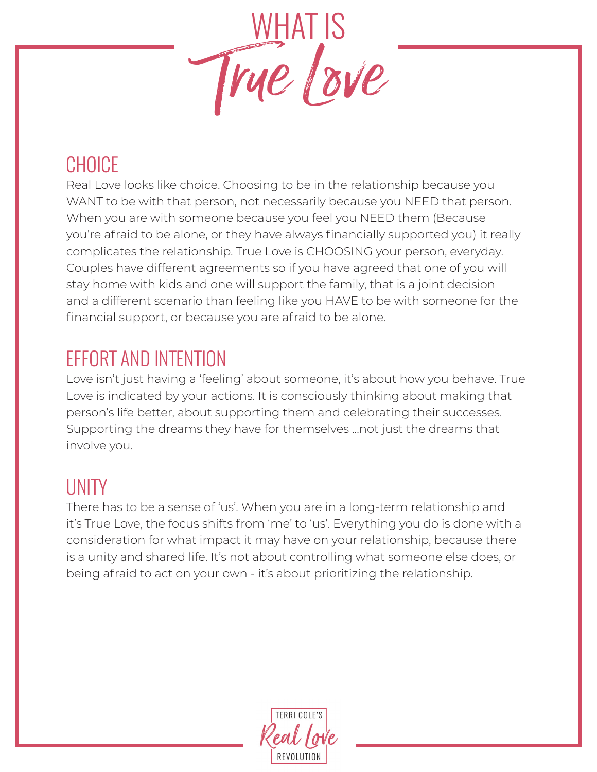

# **CHOICE**

Real Love looks like choice. Choosing to be in the relationship because you WANT to be with that person, not necessarily because you NEED that person. When you are with someone because you feel you NEED them (Because you're afraid to be alone, or they have always financially supported you) it really complicates the relationship. True Love is CHOOSING your person, everyday. Couples have different agreements so if you have agreed that one of you will stay home with kids and one will support the family, that is a joint decision and a different scenario than feeling like you HAVE to be with someone for the financial support, or because you are afraid to be alone.

## EFFORT AND INTENTION

Love isn't just having a 'feeling' about someone, it's about how you behave. True Love is indicated by your actions. It is consciously thinking about making that person's life better, about supporting them and celebrating their successes. Supporting the dreams they have for themselves ...not just the dreams that involve you.

## UNITY

There has to be a sense of 'us'. When you are in a long-term relationship and it's True Love, the focus shifts from 'me' to 'us'. Everything you do is done with a consideration for what impact it may have on your relationship, because there is a unity and shared life. It's not about controlling what someone else does, or being afraid to act on your own - it's about prioritizing the relationship.

TERRI COLE'S REVOLUTION